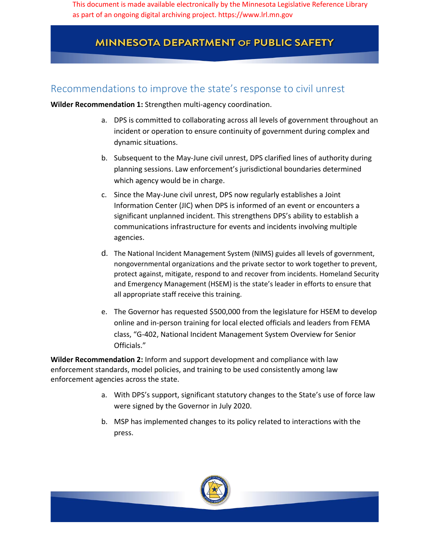This document is made available electronically by the Minnesota Legislative Reference Library as part of an ongoing digital archiving project. https://www.lrl.mn.gov

## **MINNESOTA DEPARTMENT OF PUBLIC SAFETY**

## Recommendations to improve the state's response to civil unrest

**Wilder Recommendation 1:** Strengthen multi-agency coordination.

- a. DPS is committed to collaborating across all levels of government throughout an incident or operation to ensure continuity of government during complex and dynamic situations.
- b. Subsequent to the May-June civil unrest, DPS clarified lines of authority during planning sessions. Law enforcement's jurisdictional boundaries determined which agency would be in charge.
- c. Since the May-June civil unrest, DPS now regularly establishes a Joint Information Center (JIC) when DPS is informed of an event or encounters a significant unplanned incident. This strengthens DPS's ability to establish a communications infrastructure for events and incidents involving multiple agencies.
- d. The National Incident Management System (NIMS) guides all levels of government, nongovernmental organizations and the private sector to work together to prevent, protect against, mitigate, respond to and recover from incidents. Homeland Security and Emergency Management (HSEM) is the state's leader in efforts to ensure that all appropriate staff receive this training.
- e. The Governor has requested \$500,000 from the legislature for HSEM to develop online and in-person training for local elected officials and leaders from FEMA class, "G-402, National Incident Management System Overview for Senior Officials."

**Wilder Recommendation 2:** Inform and support development and compliance with law enforcement standards, model policies, and training to be used consistently among law enforcement agencies across the state.

- a. With DPS's support, significant statutory changes to the State's use of force law were signed by the Governor in July 2020.
- b. MSP has implemented changes to its policy related to interactions with the press.

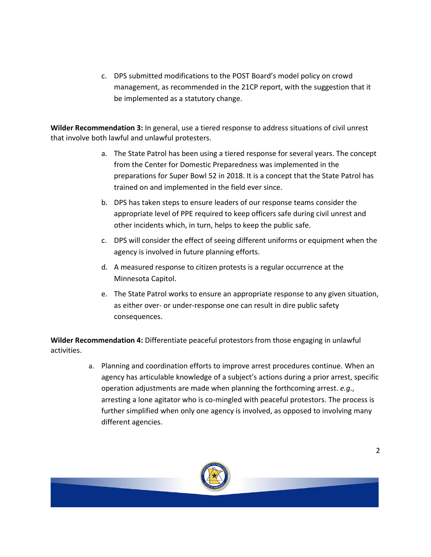c. DPS submitted modifications to the POST Board's model policy on crowd management, as recommended in the 21CP report, with the suggestion that it be implemented as a statutory change.

**Wilder Recommendation 3:** In general, use a tiered response to address situations of civil unrest that involve both lawful and unlawful protesters.

- a. The State Patrol has been using a tiered response for several years. The concept from the Center for Domestic Preparedness was implemented in the preparations for Super Bowl 52 in 2018. It is a concept that the State Patrol has trained on and implemented in the field ever since.
- b. DPS has taken steps to ensure leaders of our response teams consider the appropriate level of PPE required to keep officers safe during civil unrest and other incidents which, in turn, helps to keep the public safe.
- c. DPS will consider the effect of seeing different uniforms or equipment when the agency is involved in future planning efforts.
- d. A measured response to citizen protests is a regular occurrence at the Minnesota Capitol.
- e. The State Patrol works to ensure an appropriate response to any given situation, as either over- or under-response one can result in dire public safety consequences.

**Wilder Recommendation 4:** Differentiate peaceful protestors from those engaging in unlawful activities.

> a. Planning and coordination efforts to improve arrest procedures continue. When an agency has articulable knowledge of a subject's actions during a prior arrest, specific operation adjustments are made when planning the forthcoming arrest. *e.g*., arresting a lone agitator who is co-mingled with peaceful protestors. The process is further simplified when only one agency is involved, as opposed to involving many different agencies.

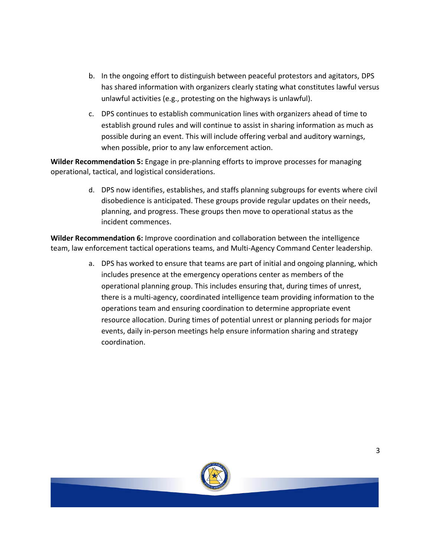- b. In the ongoing effort to distinguish between peaceful protestors and agitators, DPS has shared information with organizers clearly stating what constitutes lawful versus unlawful activities (e.g., protesting on the highways is unlawful).
- c. DPS continues to establish communication lines with organizers ahead of time to establish ground rules and will continue to assist in sharing information as much as possible during an event. This will include offering verbal and auditory warnings, when possible, prior to any law enforcement action.

**Wilder Recommendation 5:** Engage in pre-planning efforts to improve processes for managing operational, tactical, and logistical considerations.

> d. DPS now identifies, establishes, and staffs planning subgroups for events where civil disobedience is anticipated. These groups provide regular updates on their needs, planning, and progress. These groups then move to operational status as the incident commences.

**Wilder Recommendation 6:** Improve coordination and collaboration between the intelligence team, law enforcement tactical operations teams, and Multi-Agency Command Center leadership.

> a. DPS has worked to ensure that teams are part of initial and ongoing planning, which includes presence at the emergency operations center as members of the operational planning group. This includes ensuring that, during times of unrest, there is a multi-agency, coordinated intelligence team providing information to the operations team and ensuring coordination to determine appropriate event resource allocation. During times of potential unrest or planning periods for major events, daily in-person meetings help ensure information sharing and strategy coordination.

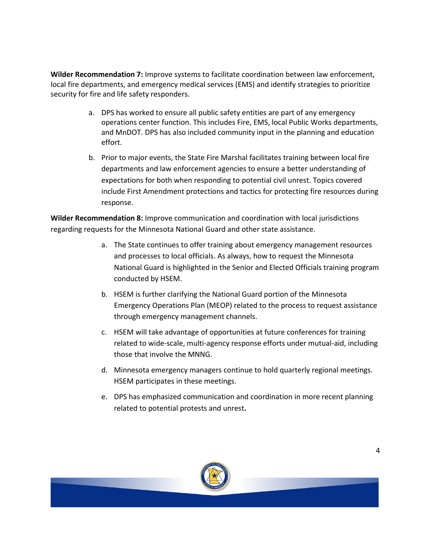**Wilder Recommendation 7:** Improve systems to facilitate coordination between law enforcement, local fire departments, and emergency medical services (EMS) and identify strategies to prioritize security for fire and life safety responders.

- a. DPS has worked to ensure all public safety entities are part of any emergency operations center function. This includes Fire, EMS, local Public Works departments, and MnDOT. DPS has also included community input in the planning and education effort.
- b. Prior to major events, the State Fire Marshal facilitates training between local fire departments and law enforcement agencies to ensure a better understanding of expectations for both when responding to potential civil unrest. Topics covered include First Amendment protections and tactics for protecting fire resources during response.

**Wilder Recommendation 8:** Improve communication and coordination with local jurisdictions regarding requests for the Minnesota National Guard and other state assistance.

- a. The State continues to offer training about emergency management resources and processes to local officials. As always, how to request the Minnesota National Guard is highlighted in the Senior and Elected Officials training program conducted by HSEM.
- b. HSEM is further clarifying the National Guard portion of the Minnesota Emergency Operations Plan (MEOP) related to the process to request assistance through emergency management channels.
- c. HSEM will take advantage of opportunities at future conferences for training related to wide-scale, multi-agency response efforts under mutual-aid, including those that involve the MNNG.
- d. Minnesota emergency managers continue to hold quarterly regional meetings. HSEM participates in these meetings.
- e. DPS has emphasized communication and coordination in more recent planning related to potential protests and unrest**.**

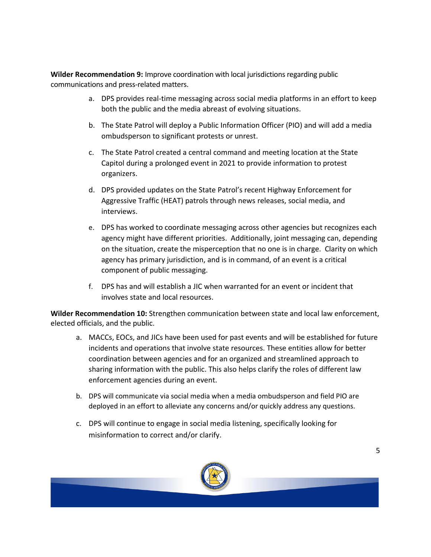**Wilder Recommendation 9:** Improve coordination with local jurisdictions regarding public communications and press-related matters.

- a. DPS provides real-time messaging across social media platforms in an effort to keep both the public and the media abreast of evolving situations.
- b. The State Patrol will deploy a Public Information Officer (PIO) and will add a media ombudsperson to significant protests or unrest.
- c. The State Patrol created a central command and meeting location at the State Capitol during a prolonged event in 2021 to provide information to protest organizers.
- d. DPS provided updates on the State Patrol's recent Highway Enforcement for Aggressive Traffic (HEAT) patrols through news releases, social media, and interviews.
- e. DPS has worked to coordinate messaging across other agencies but recognizes each agency might have different priorities. Additionally, joint messaging can, depending on the situation, create the misperception that no one is in charge. Clarity on which agency has primary jurisdiction, and is in command, of an event is a critical component of public messaging.
- f. DPS has and will establish a JIC when warranted for an event or incident that involves state and local resources.

**Wilder Recommendation 10:** Strengthen communication between state and local law enforcement, elected officials, and the public.

- a. MACCs, EOCs, and JICs have been used for past events and will be established for future incidents and operations that involve state resources. These entities allow for better coordination between agencies and for an organized and streamlined approach to sharing information with the public. This also helps clarify the roles of different law enforcement agencies during an event.
- b. DPS will communicate via social media when a media ombudsperson and field PIO are deployed in an effort to alleviate any concerns and/or quickly address any questions.
- c. DPS will continue to engage in social media listening, specifically looking for misinformation to correct and/or clarify.

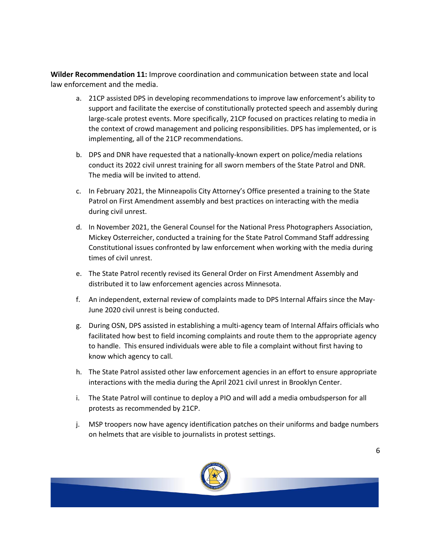**Wilder Recommendation 11:** Improve coordination and communication between state and local law enforcement and the media.

- a. 21CP assisted DPS in developing recommendations to improve law enforcement's ability to support and facilitate the exercise of constitutionally protected speech and assembly during large-scale protest events. More specifically, 21CP focused on practices relating to media in the context of crowd management and policing responsibilities. DPS has implemented, or is implementing, all of the 21CP recommendations.
- b. DPS and DNR have requested that a nationally-known expert on police/media relations conduct its 2022 civil unrest training for all sworn members of the State Patrol and DNR. The media will be invited to attend.
- c. In February 2021, the Minneapolis City Attorney's Office presented a training to the State Patrol on First Amendment assembly and best practices on interacting with the media during civil unrest.
- d. In November 2021, the General Counsel for the National Press Photographers Association, Mickey Osterreicher, conducted a training for the State Patrol Command Staff addressing Constitutional issues confronted by law enforcement when working with the media during times of civil unrest.
- e. The State Patrol recently revised its General Order on First Amendment Assembly and distributed it to law enforcement agencies across Minnesota.
- f. An independent, external review of complaints made to DPS Internal Affairs since the May-June 2020 civil unrest is being conducted.
- g. During OSN, DPS assisted in establishing a multi-agency team of Internal Affairs officials who facilitated how best to field incoming complaints and route them to the appropriate agency to handle. This ensured individuals were able to file a complaint without first having to know which agency to call.
- h. The State Patrol assisted other law enforcement agencies in an effort to ensure appropriate interactions with the media during the April 2021 civil unrest in Brooklyn Center.
- i. The State Patrol will continue to deploy a PIO and will add a media ombudsperson for all protests as recommended by 21CP.
- j. MSP troopers now have agency identification patches on their uniforms and badge numbers on helmets that are visible to journalists in protest settings.

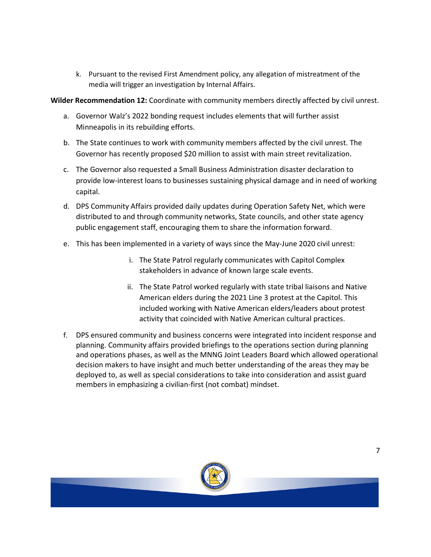k. Pursuant to the revised First Amendment policy, any allegation of mistreatment of the media will trigger an investigation by Internal Affairs.

**Wilder Recommendation 12:** Coordinate with community members directly affected by civil unrest.

- a. Governor Walz's 2022 bonding request includes elements that will further assist Minneapolis in its rebuilding efforts.
- b. The State continues to work with community members affected by the civil unrest. The Governor has recently proposed \$20 million to assist with main street revitalization.
- c. The Governor also requested a Small Business Administration disaster declaration to provide low-interest loans to businesses sustaining physical damage and in need of working capital.
- d. DPS Community Affairs provided daily updates during Operation Safety Net, which were distributed to and through community networks, State councils, and other state agency public engagement staff, encouraging them to share the information forward.
- e. This has been implemented in a variety of ways since the May-June 2020 civil unrest:
	- i. The State Patrol regularly communicates with Capitol Complex stakeholders in advance of known large scale events.
	- ii. The State Patrol worked regularly with state tribal liaisons and Native American elders during the 2021 Line 3 protest at the Capitol. This included working with Native American elders/leaders about protest activity that coincided with Native American cultural practices.
- f. DPS ensured community and business concerns were integrated into incident response and planning. Community affairs provided briefings to the operations section during planning and operations phases, as well as the MNNG Joint Leaders Board which allowed operational decision makers to have insight and much better understanding of the areas they may be deployed to, as well as special considerations to take into consideration and assist guard members in emphasizing a civilian-first (not combat) mindset.

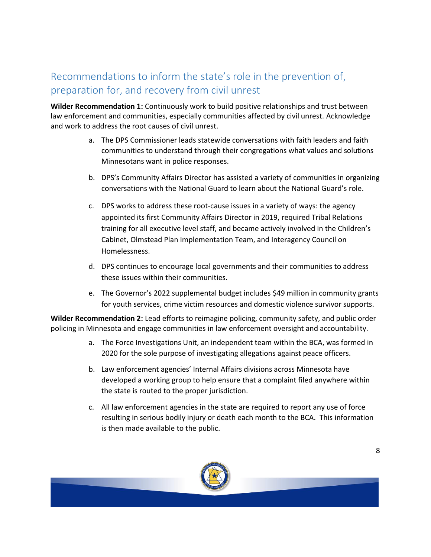## Recommendations to inform the state's role in the prevention of, preparation for, and recovery from civil unrest

**Wilder Recommendation 1:** Continuously work to build positive relationships and trust between law enforcement and communities, especially communities affected by civil unrest. Acknowledge and work to address the root causes of civil unrest.

- a. The DPS Commissioner leads statewide conversations with faith leaders and faith communities to understand through their congregations what values and solutions Minnesotans want in police responses.
- b. DPS's Community Affairs Director has assisted a variety of communities in organizing conversations with the National Guard to learn about the National Guard's role.
- c. DPS works to address these root-cause issues in a variety of ways: the agency appointed its first Community Affairs Director in 2019, required Tribal Relations training for all executive level staff, and became actively involved in the Children's Cabinet, Olmstead Plan Implementation Team, and Interagency Council on Homelessness.
- d. DPS continues to encourage local governments and their communities to address these issues within their communities.
- e. The Governor's 2022 supplemental budget includes \$49 million in community grants for youth services, crime victim resources and domestic violence survivor supports.

**Wilder Recommendation 2:** Lead efforts to reimagine policing, community safety, and public order policing in Minnesota and engage communities in law enforcement oversight and accountability.

- a. The Force Investigations Unit, an independent team within the BCA, was formed in 2020 for the sole purpose of investigating allegations against peace officers.
- b. Law enforcement agencies' Internal Affairs divisions across Minnesota have developed a working group to help ensure that a complaint filed anywhere within the state is routed to the proper jurisdiction.
- c. All law enforcement agencies in the state are required to report any use of force resulting in serious bodily injury or death each month to the BCA. This information is then made available to the public.

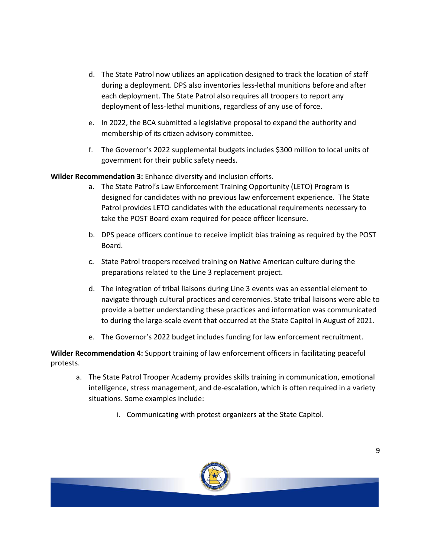- d. The State Patrol now utilizes an application designed to track the location of staff during a deployment. DPS also inventories less-lethal munitions before and after each deployment. The State Patrol also requires all troopers to report any deployment of less-lethal munitions, regardless of any use of force.
- e. In 2022, the BCA submitted a legislative proposal to expand the authority and membership of its citizen advisory committee.
- f. The Governor's 2022 supplemental budgets includes \$300 million to local units of government for their public safety needs.

**Wilder Recommendation 3:** Enhance diversity and inclusion efforts.

- a. The State Patrol's Law Enforcement Training Opportunity (LETO) Program is designed for candidates with no previous law enforcement experience. The State Patrol provides LETO candidates with the educational requirements necessary to take the POST Board exam required for peace officer licensure.
- b. DPS peace officers continue to receive implicit bias training as required by the POST Board.
- c. State Patrol troopers received training on Native American culture during the preparations related to the Line 3 replacement project.
- d. The integration of tribal liaisons during Line 3 events was an essential element to navigate through cultural practices and ceremonies. State tribal liaisons were able to provide a better understanding these practices and information was communicated to during the large-scale event that occurred at the State Capitol in August of 2021.
- e. The Governor's 2022 budget includes funding for law enforcement recruitment.

**Wilder Recommendation 4:** Support training of law enforcement officers in facilitating peaceful protests.

- a. The State Patrol Trooper Academy provides skills training in communication, emotional intelligence, stress management, and de-escalation, which is often required in a variety situations. Some examples include:
	- i. Communicating with protest organizers at the State Capitol.

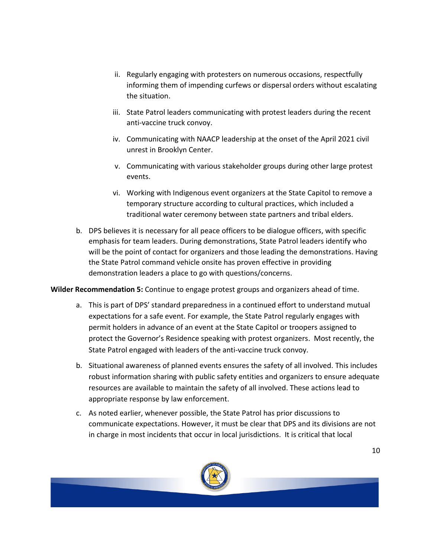- ii. Regularly engaging with protesters on numerous occasions, respectfully informing them of impending curfews or dispersal orders without escalating the situation.
- iii. State Patrol leaders communicating with protest leaders during the recent anti-vaccine truck convoy.
- iv. Communicating with NAACP leadership at the onset of the April 2021 civil unrest in Brooklyn Center.
- v. Communicating with various stakeholder groups during other large protest events.
- vi. Working with Indigenous event organizers at the State Capitol to remove a temporary structure according to cultural practices, which included a traditional water ceremony between state partners and tribal elders.
- b. DPS believes it is necessary for all peace officers to be dialogue officers, with specific emphasis for team leaders. During demonstrations, State Patrol leaders identify who will be the point of contact for organizers and those leading the demonstrations. Having the State Patrol command vehicle onsite has proven effective in providing demonstration leaders a place to go with questions/concerns.

**Wilder Recommendation 5:** Continue to engage protest groups and organizers ahead of time.

- a. This is part of DPS' standard preparedness in a continued effort to understand mutual expectations for a safe event. For example, the State Patrol regularly engages with permit holders in advance of an event at the State Capitol or troopers assigned to protect the Governor's Residence speaking with protest organizers. Most recently, the State Patrol engaged with leaders of the anti-vaccine truck convoy.
- b. Situational awareness of planned events ensures the safety of all involved. This includes robust information sharing with public safety entities and organizers to ensure adequate resources are available to maintain the safety of all involved. These actions lead to appropriate response by law enforcement.
- c. As noted earlier, whenever possible, the State Patrol has prior discussions to communicate expectations. However, it must be clear that DPS and its divisions are not in charge in most incidents that occur in local jurisdictions. It is critical that local

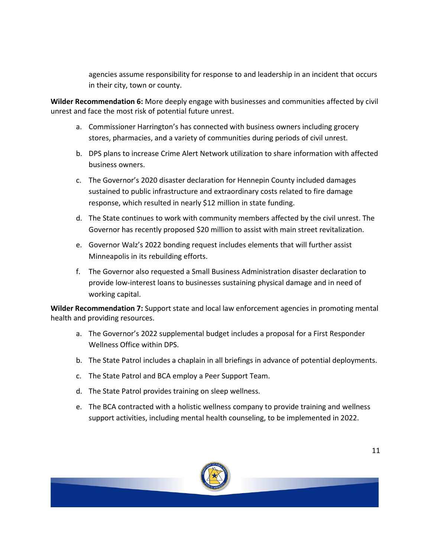agencies assume responsibility for response to and leadership in an incident that occurs in their city, town or county.

**Wilder Recommendation 6:** More deeply engage with businesses and communities affected by civil unrest and face the most risk of potential future unrest.

- a. Commissioner Harrington's has connected with business owners including grocery stores, pharmacies, and a variety of communities during periods of civil unrest.
- b. DPS plans to increase Crime Alert Network utilization to share information with affected business owners.
- c. The Governor's 2020 disaster declaration for Hennepin County included damages sustained to public infrastructure and extraordinary costs related to fire damage response, which resulted in nearly \$12 million in state funding.
- d. The State continues to work with community members affected by the civil unrest. The Governor has recently proposed \$20 million to assist with main street revitalization.
- e. Governor Walz's 2022 bonding request includes elements that will further assist Minneapolis in its rebuilding efforts.
- f. The Governor also requested a Small Business Administration disaster declaration to provide low-interest loans to businesses sustaining physical damage and in need of working capital.

**Wilder Recommendation 7:** Support state and local law enforcement agencies in promoting mental health and providing resources.

- a. The Governor's 2022 supplemental budget includes a proposal for a First Responder Wellness Office within DPS.
- b. The State Patrol includes a chaplain in all briefings in advance of potential deployments.
- c. The State Patrol and BCA employ a Peer Support Team.
- d. The State Patrol provides training on sleep wellness.
- e. The BCA contracted with a holistic wellness company to provide training and wellness support activities, including mental health counseling, to be implemented in 2022.